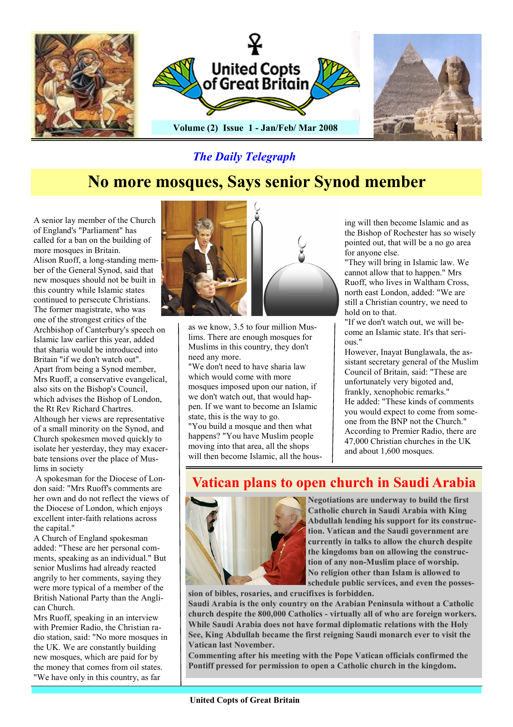

### The Daily Telegraph

## No more mosques, Says senior Synod member

A senior lay member of the Church of England's "Parliament" has called for a ban on the building of more mosques in Britain. Alison Ruoff, a long-standing member of the General Synod, said that new mosques should not be built in this country while Islamic states continued to persecute Christians. The former magistrate, who was one of the strongest critics of the Archbishop of Canterbury's speech on Islamic law earlier this year, added that sharia would be introduced into Britain "if we don't watch out". Apart from being a Synod member, Mrs Ruoff, a conservative evangelical, also sits on the Bishop's Council, which advises the Bishop of London, the Rt Rev Richard Chartres. Although her views are representative of a small minority on the Synod, and Church spokesmen moved quickly to isolate her yesterday, they may exacerbate tensions over the place of Muslims in society

 A spokesman for the Diocese of London said: "Mrs Ruoff's comments are her own and do not reflect the views of the Diocese of London, which enjoys excellent inter-faith relations across the capital."

A Church of England spokesman added: "These are her personal comments, speaking as an individual." But senior Muslims had already reacted angrily to her comments, saying they were more typical of a member of the British National Party than the Anglican Church.

Mrs Ruoff, speaking in an interview with Premier Radio, the Christian radio station, said: "No more mosques in the UK. We are constantly building new mosques, which are paid for by the money that comes from oil states. "We have only in this country, as far



as we know, 3.5 to four million Muslims. There are enough mosques for Muslims in this country, they don't need any more.

"We don't need to have sharia law which would come with more mosques imposed upon our nation, if we don't watch out, that would happen. If we want to become an Islamic state, this is the way to go.

"You build a mosque and then what happens? "You have Muslim people moving into that area, all the shops will then become Islamic, all the hous-

ing will then become Islamic and as the Bishop of Rochester has so wisely pointed out, that will be a no go area for anyone else.

"They will bring in Islamic law. We cannot allow that to happen." Mrs Ruoff, who lives in Waltham Cross, north east London, added: "We are still a Christian country, we need to hold on to that.

"If we don't watch out, we will become an Islamic state. It's that serious."

However, Inayat Bunglawala, the assistant secretary general of the Muslim Council of Britain, said: "These are unfortunately very bigoted and, frankly, xenophobic remarks." He added: "These kinds of comments you would expect to come from someone from the BNP not the Church." According to Premier Radio, there are 47,000 Christian churches in the UK and about 1,600 mosques.

### Vatican plans to open church in Saudi Arabia



Negotiations are underway to build the first Catholic church in Saudi Arabia with King Abdullah lending his support for its construction. Vatican and the Saudi government are currently in talks to allow the church despite the kingdoms ban on allowing the construction of any non-Muslim place of worship. No religion other than Islam is allowed to schedule public services, and even the posses-

sion of bibles, rosaries, and crucifixes is forbidden. Saudi Arabia is the only country on the Arabian Peninsula without a Catholic church despite the 800,000 Catholics - virtually all of who are foreign workers. While Saudi Arabia does not have formal diplomatic relations with the Holy See, King Abdullah became the first reigning Saudi monarch ever to visit the Vatican last November.

Commenting after his meeting with the Pope Vatican officials confirmed the Pontiff pressed for permission to open a Catholic church in the kingdom.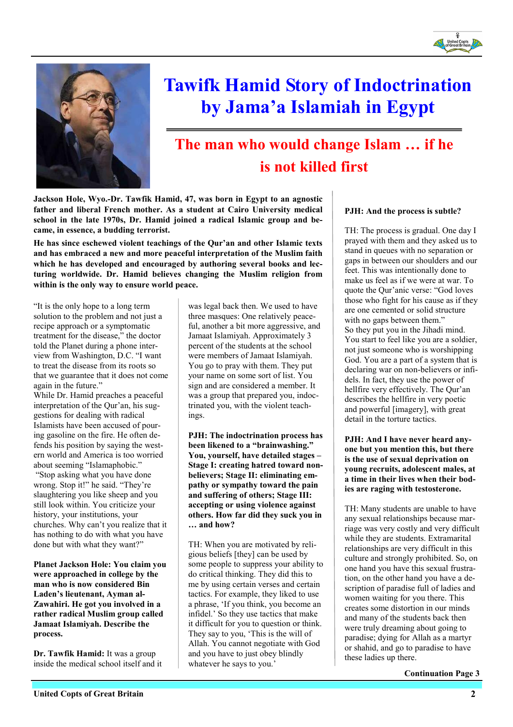## Tawifk Hamid Story of Indoctrination by Jama'a Islamiah in Egypt

## The man who would change Islam … if he is not killed first

Jackson Hole, Wyo.-Dr. Tawfik Hamid, 47, was born in Egypt to an agnostic father and liberal French mother. As a student at Cairo University medical school in the late 1970s, Dr. Hamid joined a radical Islamic group and became, in essence, a budding terrorist.

He has since eschewed violent teachings of the Qur'an and other Islamic texts and has embraced a new and more peaceful interpretation of the Muslim faith which he has developed and encouraged by authoring several books and lecturing worldwide. Dr. Hamid believes changing the Muslim religion from within is the only way to ensure world peace.

"It is the only hope to a long term solution to the problem and not just a recipe approach or a symptomatic treatment for the disease," the doctor told the Planet during a phone interview from Washington, D.C. "I want to treat the disease from its roots so that we guarantee that it does not come again in the future."

While Dr. Hamid preaches a peaceful interpretation of the Qur'an, his suggestions for dealing with radical Islamists have been accused of pouring gasoline on the fire. He often defends his position by saying the western world and America is too worried about seeming "Islamaphobic."

 "Stop asking what you have done wrong. Stop it!" he said. "They're slaughtering you like sheep and you still look within. You criticize your history, your institutions, your churches. Why can't you realize that it has nothing to do with what you have done but with what they want?"

Planet Jackson Hole: You claim you were approached in college by the man who is now considered Bin Laden's lieutenant, Ayman al-Zawahiri. He got you involved in a rather radical Muslim group called Jamaat Islamiyah. Describe the process.

Dr. Tawfik Hamid: It was a group inside the medical school itself and it was legal back then. We used to have three masques: One relatively peaceful, another a bit more aggressive, and Jamaat Islamiyah. Approximately 3 percent of the students at the school were members of Jamaat Islamiyah. You go to pray with them. They put your name on some sort of list. You sign and are considered a member. It was a group that prepared you, indoctrinated you, with the violent teachings.

PJH: The indoctrination process has been likened to a "brainwashing." You, yourself, have detailed stages – Stage I: creating hatred toward nonbelievers; Stage II: eliminating empathy or sympathy toward the pain and suffering of others; Stage III: accepting or using violence against others. How far did they suck you in … and how?

TH: When you are motivated by religious beliefs [they] can be used by some people to suppress your ability to do critical thinking. They did this to me by using certain verses and certain tactics. For example, they liked to use a phrase, 'If you think, you become an infidel.' So they use tactics that make it difficult for you to question or think. They say to you, 'This is the will of Allah. You cannot negotiate with God and you have to just obey blindly whatever he says to you.'

#### PJH: And the process is subtle?

TH: The process is gradual. One day I prayed with them and they asked us to stand in queues with no separation or gaps in between our shoulders and our feet. This was intentionally done to make us feel as if we were at war. To quote the Qur'anic verse: "God loves those who fight for his cause as if they are one cemented or solid structure with no gaps between them." So they put you in the Jihadi mind. You start to feel like you are a soldier, not just someone who is worshipping God. You are a part of a system that is declaring war on non-believers or infidels. In fact, they use the power of hellfire very effectively. The Qur'an describes the hellfire in very poetic and powerful [imagery], with great detail in the torture tactics.

PJH: And I have never heard anyone but you mention this, but there is the use of sexual deprivation on young recruits, adolescent males, at a time in their lives when their bodies are raging with testosterone.

TH: Many students are unable to have any sexual relationships because marriage was very costly and very difficult while they are students. Extramarital relationships are very difficult in this culture and strongly prohibited. So, on one hand you have this sexual frustration, on the other hand you have a description of paradise full of ladies and women waiting for you there. This creates some distortion in our minds and many of the students back then were truly dreaming about going to paradise; dying for Allah as a martyr or shahid, and go to paradise to have these ladies up there.

Continuation Page 3



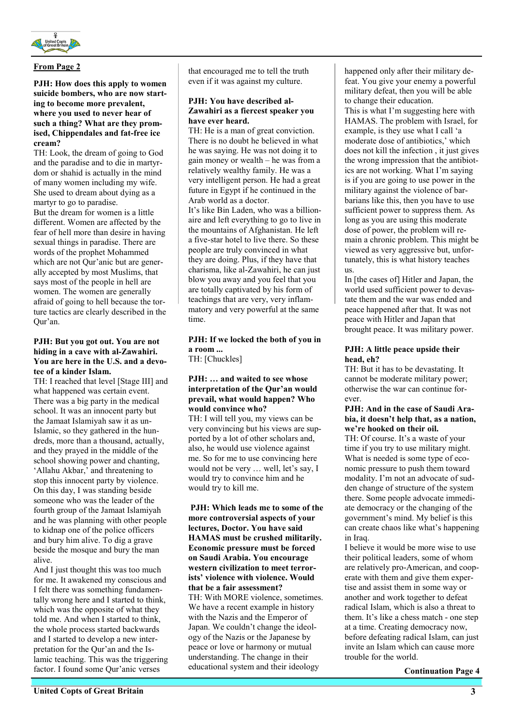

#### From Page 2

#### PJH: How does this apply to women suicide bombers, who are now starting to become more prevalent, where you used to never hear of such a thing? What are they promised, Chippendales and fat-free ice cream?

TH: Look, the dream of going to God and the paradise and to die in martyrdom or shahid is actually in the mind of many women including my wife. She used to dream about dying as a martyr to go to paradise. But the dream for women is a little different. Women are affected by the fear of hell more than desire in having sexual things in paradise. There are words of the prophet Mohammed which are not Qur'anic but are generally accepted by most Muslims, that says most of the people in hell are women. The women are generally afraid of going to hell because the torture tactics are clearly described in the Qur'an.

#### PJH: But you got out. You are not hiding in a cave with al-Zawahiri. You are here in the U.S. and a devotee of a kinder Islam.

TH: I reached that level [Stage III] and what happened was certain event. There was a big party in the medical school. It was an innocent party but the Jamaat Islamiyah saw it as un-Islamic, so they gathered in the hundreds, more than a thousand, actually, and they prayed in the middle of the school showing power and chanting, 'Allahu Akbar,' and threatening to stop this innocent party by violence. On this day, I was standing beside someone who was the leader of the fourth group of the Jamaat Islamiyah and he was planning with other people to kidnap one of the police officers and bury him alive. To dig a grave beside the mosque and bury the man alive.

And I just thought this was too much for me. It awakened my conscious and I felt there was something fundamentally wrong here and I started to think, which was the opposite of what they told me. And when I started to think, the whole process started backwards and I started to develop a new interpretation for the Qur'an and the Islamic teaching. This was the triggering factor. I found some Qur'anic verses

that encouraged me to tell the truth even if it was against my culture.

#### PJH: You have described al-Zawahiri as a fiercest speaker you have ever heard.

TH: He is a man of great conviction. There is no doubt he believed in what he was saying. He was not doing it to gain money or wealth – he was from a relatively wealthy family. He was a very intelligent person. He had a great future in Egypt if he continued in the Arab world as a doctor.

It's like Bin Laden, who was a billionaire and left everything to go to live in the mountains of Afghanistan. He left a five-star hotel to live there. So these people are truly convinced in what they are doing. Plus, if they have that charisma, like al-Zawahiri, he can just blow you away and you feel that you are totally captivated by his form of teachings that are very, very inflammatory and very powerful at the same time.

### PJH: If we locked the both of you in a room ...

TH: [Chuckles]

#### PJH: … and waited to see whose interpretation of the Qur'an would prevail, what would happen? Who would convince who?

TH: I will tell you, my views can be very convincing but his views are supported by a lot of other scholars and, also, he would use violence against me. So for me to use convincing here would not be very … well, let's say, I would try to convince him and he would try to kill me.

PJH: Which leads me to some of the more controversial aspects of your lectures, Doctor. You have said HAMAS must be crushed militarily. Economic pressure must be forced on Saudi Arabia. You encourage western civilization to meet terrorists' violence with violence. Would that be a fair assessment? TH: With MORE violence, sometimes. We have a recent example in history with the Nazis and the Emperor of Japan. We couldn't change the ideology of the Nazis or the Japanese by peace or love or harmony or mutual understanding. The change in their educational system and their ideology

happened only after their military defeat. You give your enemy a powerful military defeat, then you will be able to change their education.

This is what I'm suggesting here with HAMAS. The problem with Israel, for example, is they use what I call 'a moderate dose of antibiotics,' which does not kill the infection , it just gives the wrong impression that the antibiotics are not working. What I'm saying is if you are going to use power in the military against the violence of barbarians like this, then you have to use sufficient power to suppress them. As long as you are using this moderate dose of power, the problem will remain a chronic problem. This might be viewed as very aggressive but, unfortunately, this is what history teaches us.

In [the cases of] Hitler and Japan, the world used sufficient power to devastate them and the war was ended and peace happened after that. It was not peace with Hitler and Japan that brought peace. It was military power.

#### PJH: A little peace upside their head, eh?

TH: But it has to be devastating. It cannot be moderate military power; otherwise the war can continue forever.

#### PJH: And in the case of Saudi Arabia, it doesn't help that, as a nation, we're hooked on their oil.

TH: Of course. It's a waste of your time if you try to use military might. What is needed is some type of economic pressure to push them toward modality. I'm not an advocate of sudden change of structure of the system there. Some people advocate immediate democracy or the changing of the government's mind. My belief is this can create chaos like what's happening in Iraq.

I believe it would be more wise to use their political leaders, some of whom are relatively pro-American, and cooperate with them and give them expertise and assist them in some way or another and work together to defeat radical Islam, which is also a threat to them. It's like a chess match - one step at a time. Creating democracy now, before defeating radical Islam, can just invite an Islam which can cause more trouble for the world.

Continuation Page 4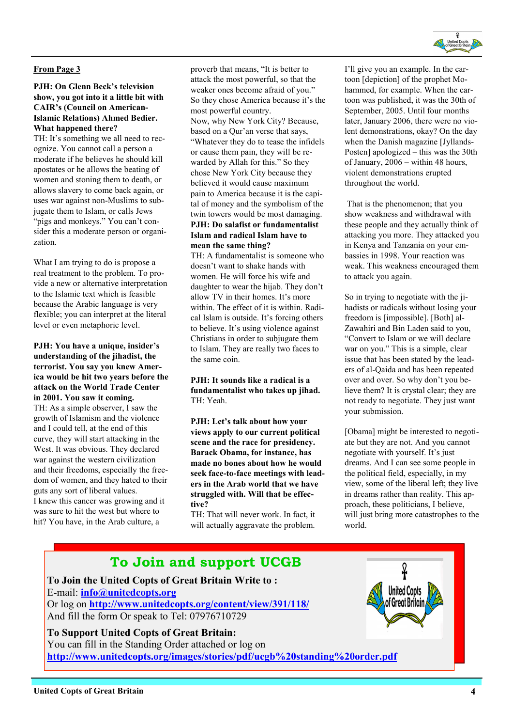

#### PJH: On Glenn Beck's television show, you got into it a little bit with CAIR's (Council on American-Islamic Relations) Ahmed Bedier. What happened there?

TH: It's something we all need to recognize. You cannot call a person a moderate if he believes he should kill apostates or he allows the beating of women and stoning them to death, or allows slavery to come back again, or uses war against non-Muslims to subjugate them to Islam, or calls Jews "pigs and monkeys." You can't consider this a moderate person or organization.

What I am trying to do is propose a real treatment to the problem. To provide a new or alternative interpretation to the Islamic text which is feasible because the Arabic language is very flexible; you can interpret at the literal level or even metaphoric level.

#### PJH: You have a unique, insider's understanding of the jihadist, the terrorist. You say you knew America would be hit two years before the attack on the World Trade Center in 2001. You saw it coming.

TH: As a simple observer, I saw the growth of Islamism and the violence and I could tell, at the end of this curve, they will start attacking in the West. It was obvious. They declared war against the western civilization and their freedoms, especially the freedom of women, and they hated to their guts any sort of liberal values. I knew this cancer was growing and it was sure to hit the west but where to hit? You have, in the Arab culture, a

proverb that means, "It is better to attack the most powerful, so that the weaker ones become afraid of you." So they chose America because it's the most powerful country. Now, why New York City? Because, based on a Qur'an verse that says, "Whatever they do to tease the infidels or cause them pain, they will be rewarded by Allah for this." So they chose New York City because they believed it would cause maximum pain to America because it is the capital of money and the symbolism of the twin towers would be most damaging. PJH: Do salafist or fundamentalist Islam and radical Islam have to From Page 3 The proverb that means, "It is better to T'll give you an example. In the car-

> mean the same thing? TH: A fundamentalist is someone who doesn't want to shake hands with women. He will force his wife and daughter to wear the hijab. They don't allow TV in their homes. It's more within. The effect of it is within. Radical Islam is outside. It's forcing others to believe. It's using violence against Christians in order to subjugate them to Islam. They are really two faces to the same coin.

PJH: It sounds like a radical is a fundamentalist who takes up jihad. TH: Yeah.

PJH: Let's talk about how your views apply to our current political scene and the race for presidency. Barack Obama, for instance, has made no bones about how he would seek face-to-face meetings with leaders in the Arab world that we have struggled with. Will that be effective?

TH: That will never work. In fact, it will actually aggravate the problem.

toon [depiction] of the prophet Mohammed, for example. When the cartoon was published, it was the 30th of September, 2005. Until four months later, January 2006, there were no violent demonstrations, okay? On the day when the Danish magazine [Jyllands-Posten] apologized – this was the 30th of January, 2006 – within 48 hours, violent demonstrations erupted throughout the world.

 That is the phenomenon; that you show weakness and withdrawal with these people and they actually think of attacking you more. They attacked you in Kenya and Tanzania on your embassies in 1998. Your reaction was weak. This weakness encouraged them to attack you again.

So in trying to negotiate with the jihadists or radicals without losing your freedom is [impossible]. [Both] al-Zawahiri and Bin Laden said to you, "Convert to Islam or we will declare war on you." This is a simple, clear issue that has been stated by the leaders of al-Qaida and has been repeated over and over. So why don't you believe them? It is crystal clear; they are not ready to negotiate. They just want your submission.

[Obama] might be interested to negotiate but they are not. And you cannot negotiate with yourself. It's just dreams. And I can see some people in the political field, especially, in my view, some of the liberal left; they live in dreams rather than reality. This approach, these politicians, I believe, will just bring more catastrophes to the world.

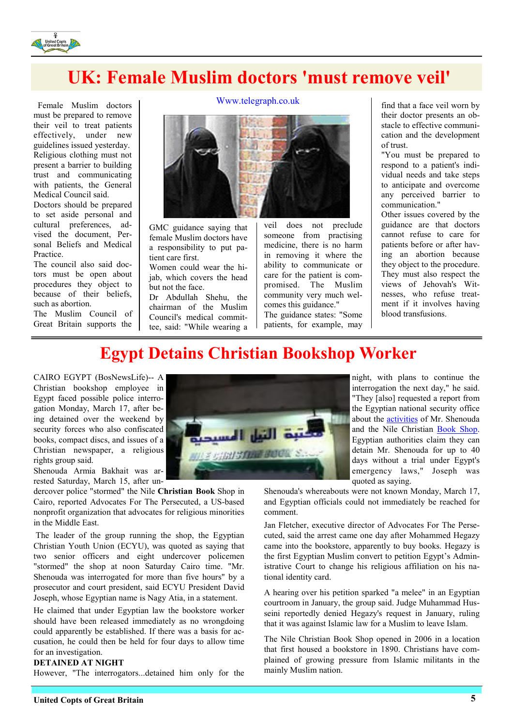

## UK: Female Muslim doctors 'must remove veil'

 Female Muslim doctors must be prepared to remove their veil to treat patients effectively, under new guidelines issued yesterday. Religious clothing must not present a barrier to building trust and communicating with patients, the General Medical Council said.

Doctors should be prepared to set aside personal and cultural preferences, advised the document, Personal Beliefs and Medical Practice.

The council also said doctors must be open about procedures they object to because of their beliefs, such as abortion.

The Muslim Council of Great Britain supports the

#### Www.telegraph.co.uk



GMC guidance saying that female Muslim doctors have a responsibility to put patient care first.

Women could wear the hijab, which covers the head but not the face.

Dr Abdullah Shehu, the chairman of the Muslim Council's medical committee, said: "While wearing a veil does not preclude someone from practising medicine, there is no harm in removing it where the ability to communicate or care for the patient is compromised. The Muslim community very much welcomes this guidance." The guidance states: "Some

patients, for example, may

find that a face veil worn by their doctor presents an obstacle to effective communication and the development of trust.

"You must be prepared to respond to a patient's individual needs and take steps to anticipate and overcome any perceived barrier to communication."

Other issues covered by the guidance are that doctors cannot refuse to care for patients before or after having an abortion because they object to the procedure. They must also respect the views of Jehovah's Witnesses, who refuse treatment if it involves having blood transfusions.

## Egypt Detains Christian Bookshop Worker

CAIRO EGYPT (BosNewsLife)-- A Christian bookshop employee in Egypt faced possible police interrogation Monday, March 17, after being detained over the weekend by security forces who also confiscated books, compact discs, and issues of a Christian newspaper, a religious rights group said.

Shenouda Armia Bakhait was arrested Saturday, March 15, after un-

dercover police "stormed" the Nile Christian Book Shop in Cairo, reported Advocates For The Persecuted, a US-based nonprofit organization that advocates for religious minorities in the Middle East.

 The leader of the group running the shop, the Egyptian Christian Youth Union (ECYU), was quoted as saying that two senior officers and eight undercover policemen "stormed" the shop at noon Saturday Cairo time. "Mr. Shenouda was interrogated for more than five hours" by a prosecutor and court president, said ECYU President David Joseph, whose Egyptian name is Nagy Atia, in a statement.

He claimed that under Egyptian law the bookstore worker should have been released immediately as no wrongdoing could apparently be established. If there was a basis for accusation, he could then be held for four days to allow time for an investigation.

#### DETAINED AT NIGHT

However, "The interrogators...detained him only for the



night, with plans to continue the interrogation the next day," he said. "They [also] requested a report from the Egyptian national security office about the activities of Mr. Shenouda and the Nile Christian Book Shop. Egyptian authorities claim they can detain Mr. Shenouda for up to 40 days without a trial under Egypt's emergency laws," Joseph was quoted as saying.

Shenouda's whereabouts were not known Monday, March 17, and Egyptian officials could not immediately be reached for comment.

Jan Fletcher, executive director of Advocates For The Persecuted, said the arrest came one day after Mohammed Hegazy came into the bookstore, apparently to buy books. Hegazy is the first Egyptian Muslim convert to petition Egypt's Administrative Court to change his religious affiliation on his national identity card.

A hearing over his petition sparked "a melee" in an Egyptian courtroom in January, the group said. Judge Muhammad Husseini reportedly denied Hegazy's request in January, ruling that it was against Islamic law for a Muslim to leave Islam.

The Nile Christian Book Shop opened in 2006 in a location that first housed a bookstore in 1890. Christians have complained of growing pressure from Islamic militants in the mainly Muslim nation.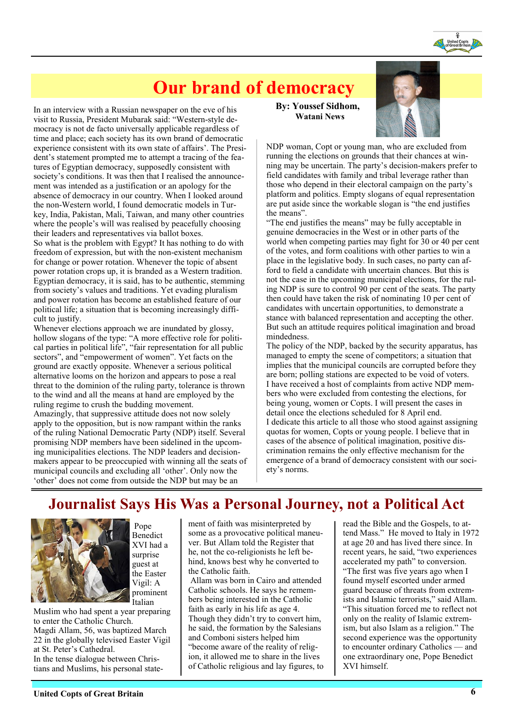## Our brand of democracy

In an interview with a Russian newspaper on the eve of his visit to Russia, President Mubarak said: "Western-style democracy is not de facto universally applicable regardless of time and place; each society has its own brand of democratic experience consistent with its own state of affairs'. The President's statement prompted me to attempt a tracing of the features of Egyptian democracy, supposedly consistent with society's conditions. It was then that I realised the announcement was intended as a justification or an apology for the absence of democracy in our country. When I looked around the non-Western world, I found democratic models in Turkey, India, Pakistan, Mali, Taiwan, and many other countries where the people's will was realised by peacefully choosing their leaders and representatives via ballot boxes. So what is the problem with Egypt? It has nothing to do with freedom of expression, but with the non-existent mechanism for change or power rotation. Whenever the topic of absent power rotation crops up, it is branded as a Western tradition. Egyptian democracy, it is said, has to be authentic, stemming from society's values and traditions. Yet evading pluralism

and power rotation has become an established feature of our political life; a situation that is becoming increasingly difficult to justify. Whenever elections approach we are inundated by glossy,

hollow slogans of the type: "A more effective role for political parties in political life", "fair representation for all public sectors", and "empowerment of women". Yet facts on the ground are exactly opposite. Whenever a serious political alternative looms on the horizon and appears to pose a real threat to the dominion of the ruling party, tolerance is thrown to the wind and all the means at hand are employed by the ruling regime to crush the budding movement.

Amazingly, that suppressive attitude does not now solely apply to the opposition, but is now rampant within the ranks of the ruling National Democratic Party (NDP) itself. Several promising NDP members have been sidelined in the upcoming municipalities elections. The NDP leaders and decisionmakers appear to be preoccupied with winning all the seats of municipal councils and excluding all 'other'. Only now the 'other' does not come from outside the NDP but may be an

By: Youssef Sidhom, Watani News



NDP woman, Copt or young man, who are excluded from running the elections on grounds that their chances at winning may be uncertain. The party's decision-makers prefer to field candidates with family and tribal leverage rather than those who depend in their electoral campaign on the party's platform and politics. Empty slogans of equal representation are put aside since the workable slogan is "the end justifies the means".

"The end justifies the means" may be fully acceptable in genuine democracies in the West or in other parts of the world when competing parties may fight for 30 or 40 per cent of the votes, and form coalitions with other parties to win a place in the legislative body. In such cases, no party can afford to field a candidate with uncertain chances. But this is not the case in the upcoming municipal elections, for the ruling NDP is sure to control 90 per cent of the seats. The party then could have taken the risk of nominating 10 per cent of candidates with uncertain opportunities, to demonstrate a stance with balanced representation and accepting the other. But such an attitude requires political imagination and broad mindedness.

The policy of the NDP, backed by the security apparatus, has managed to empty the scene of competitors; a situation that implies that the municipal councils are corrupted before they are born; polling stations are expected to be void of voters. I have received a host of complaints from active NDP members who were excluded from contesting the elections, for being young, women or Copts. I will present the cases in detail once the elections scheduled for 8 April end. I dedicate this article to all those who stood against assigning quotas for women, Copts or young people. I believe that in cases of the absence of political imagination, positive discrimination remains the only effective mechanism for the emergence of a brand of democracy consistent with our society's norms.

### Journalist Says His Was a Personal Journey, not a Political Act



 Pope Benedict XVI had a surprise guest at the Easter Vigil: A prominent Italian

Muslim who had spent a year preparing to enter the Catholic Church. Magdi Allam, 56, was baptized March 22 in the globally televised Easter Vigil at St. Peter's Cathedral. In the tense dialogue between Christians and Muslims, his personal statement of faith was misinterpreted by some as a provocative political maneuver. But Allam told the Register that he, not the co-religionists he left behind, knows best why he converted to the Catholic faith.

 Allam was born in Cairo and attended Catholic schools. He says he remembers being interested in the Catholic faith as early in his life as age 4. Though they didn't try to convert him, he said, the formation by the Salesians and Comboni sisters helped him "become aware of the reality of religion, it allowed me to share in the lives of Catholic religious and lay figures, to read the Bible and the Gospels, to attend Mass." He moved to Italy in 1972 at age 20 and has lived there since. In recent years, he said, "two experiences accelerated my path" to conversion. "The first was five years ago when I found myself escorted under armed guard because of threats from extremists and Islamic terrorists," said Allam. "This situation forced me to reflect not only on the reality of Islamic extremism, but also Islam as a religion." The second experience was the opportunity to encounter ordinary Catholics — and one extraordinary one, Pope Benedict XVI himself.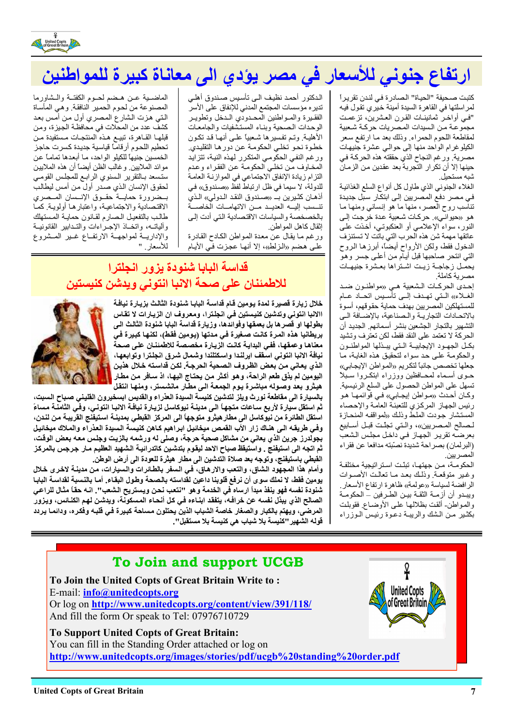

## ارتفاع جنوني للأسعار في مصر يؤدي الي معاناة كبيرة للمواطنين

كتبت صـحيفة "الحيـاة" الـصـادر ة فـى لنـدن تقريـر أ لمر اسلتها في القاهرة السيدة أمينة خيري تقول فيه "في أواخـر ثمانينــات القـرن العـشرين، تزعمـت مجموعـة مـن الـسيدات المـصـريات حركـة شـعبية لمقاطعة اللحوم الحمراء. وذلك بعد ما ارتفع سعر الكيلو غر ام الواحد منها إلى حوالـي عشرة جنيهـات مصرية. ور غم النجاح الذي حققته هذه الحركة في حينها إلا أن تكرار التجربة بعد عقدين من الزمـان شبه مستحبل

الغلاء الجنوني الذي طاول كل أنواع السلع الغذائية فی مصر دفع المصريين إلى ابتكار سبل جديدة تناسب روح العصر ، منها ما هو إنساني ومنها ما هو «حيوانـي». حركـات شـعبية عـدة خُرجت إلـي النور، سواء الإعلامي أو العنكبوتي، أخذت عل*ي* عاتقها مهمة شن هذه الحرب التي باتت لا تستنزف الدخول فقط، ولكن الأرواح أيضاً، أبرزها الروح التي انتحر صاحبها قبل أبـآم من أعلـي جسر وهوّ يحمل زجاجـة زيـت اشـتراها بعـشرة جنيهـات مصر ية كاملة

إحدى الحركـات الـشعبية هـي «مواطنـون ضـد الغــلاء» الــتي تهـدف إلــى تأســيس اتحــاد عــام للمستهلكين المصريين بهدف حماية حقوقهم، أسوة بالاتحادات التجاريـة والمصناعية، بالإضبافة الـي التشهير بالتجار الجشعين بنشر أسمائهم الجديد أن الحركة لا تعتمد على النقد فقط، لكن تعترف وتشيد بكل الجهـود الإيجابيــة الـتـى يبــذلها المواطنــون والحكومة على حد سواء لتحقيق هذه الغايـة، مـا جعلها تخصص جانباً لتكريم «المواطن الإيجابي» حـوى أسـماء لمحــافظين ووزراء ابتكـروا سـبّلأ تسهَّل على المواطن الحصول على السلع الرئيسية. وكــان أحـدث «مـواطن إيجــابي» فـي قوائمهــا هـو رئيس الجهاز المركزي للتعبئة العامة والإحصاء المستشار جودت الملط وذلك «لمواقفه المنحازة لـصالح المـصريين»، والتي تجلّت قبـل أسـابيع بعرضـه نقريـر الجهـاز فـي داخـل مجلس الـشعب (البرلمان) بصر احة شديدة نصّبته مدافعا عن فقر اء المصر يين .

الحكومة، مـن جهتهـا، تبنّـت اسـتراتيجية مختلفـة وغير متوقعة وذلك بعد مـا تعالـت الأصـوات الر افضة لسياسة «عولمة» ظاهرة ارتفاع الأسعار ويبـدو أن أزمــة الثقــة بيــن الطــرفين – الحكومــة والمواطن- ألقت بظلالها علىي الأوضاع فقوبلت بكثير من الشك والريبـة دعـوة رئيس الـوزراء

الدكتور أحمد نظيف الى تأسيس صندوق أهلي تديره مؤسسات المجتمع المدني للإنفاق على الأسر الفقيرة والمواطنين المحدودي المدخل وتطويـر الوحدات الصحية وبناء المستشفيات والجامعات الأهليـة<sub>.</sub> وتـم تفسير ها شـعبياً علــى أنـهـا قـد تكـون خطوة نحو تخلي الحكومة عن دورها التقليدي. ور غم النفي الحكومي المتكرر لهذه النية، تتزايد المخـاوف مـّن تخلـى الحكومـة عن الفقراء وعدم التزام زیادة الإنفاق الاجتماعي في الموازنـة العامـة للدولة، لا سيما في ظل ارتباط لفظ «صندوق» في أذهـان كثـيرين بــ «صـندوق النقد الـدولي» الـذي تنسب إليــه العديــد مــن الاتهامــات الّخاصـــة بالخصخصة والسياسات الاقتصادية التي أدت إلى إثقال كاهل المو اطن

ورغم ما يقال عن معدة المواطن الكادح القادرة على هضم «الزلط»، إلا أنهـا عجزت فـي الأيـام

الماضىية عـن هـضم لحـوم الكفتــة والــشاورما المصنوعة من لحوم الحمير النافقة وهي المأساة التي هزت الشارع المصري أول من أمس بعد كشف عدد من المحلات في محافظة الجيزة، ومن قبلهـا القـاهرة، تبيـع هـذه المنتجـات مـستفيدة مـن تحطيم اللحو م أر قامـاً قياسيـة جديـدة كسر ت حاجـز الخمسين جنبهاً للكبلو الو احد، مـا أبعدها تمامـاً عن مو ائد الملابين و غالب الظن أیضاً أن هذه الملابين ستسعد بـالتقرير الـسنوى الرابـع للمجلس القومـي لحقوق الإنسان الذي صدر أول من أمس ليطالب بــضرورة حمايـــة حقــوق الإنـــسان المــصري الاقتصادیة والاجتماعیـة، واعتبار هـا أولویـة كمـا طالب بالتفعيل الصارم لقانون حماية المستهلك وألياتسه، واتخاذ الإجـراءات والتـدابير القانونيــة والإداريــة لمواجهــة الارتفــاع غــير المــشروع للأسعار . "

### قداسة البابا شنودة يزور انجلترا للاطمئنان على صحة الانبا انتوني ويدشن كنيستين

خلال زيارة قصيرة لمدة بومين قام قداسة البابا شنودة الثالث بزيارة نيافة االانبا انتوني وتدشين كنيستين في انجلترا، ومعروف ان الزيارات لا تقاس بطولها او قصرها بل بعمقها وفوائدها، وزيارة قداسة البابا شنودة الثالث الـي بريطانيا هذه المرة كانت صغيرة في مدتها (يومين فقط)، لكنها كبيرة في معناها وعمقها، ففى البدايـة كانت الّزيـارة مخصصة للاطمئنـان على صـحة نيافة الانبا انتونى اسقف ايرلندا واسكتلندا وشمال شرق انجلترا وتوابعها، الذي يعان*ي* من بعض الظروف الصحية الحرجة. لكن قداسته خلال هذين اليومين لم يذق طعم الراحة، وهو أكثر من يحتاج اليها، اذ سافر من مطار هيثرو بعد وصوله مباشرة يوم الجمعة الى مطـّار مانشستر، ومنها انتقل



بالسيارة الى مقاطعة نورث ويلز لتدشين كنيسة السيدة العذراء والقديس ابسخيرون القليني صباح السبت، ثم استقل سيارة لأربع سـاعات متجهـاً ال*ـى* مدينـة نيوكاسـل لزيـارة نيافـة الانبـا انتونـي، وفـي الثامنـة مـساءً استقل الطائرة من نيوكاسل الى مطار هيثرو متوجهاً الى المركز القبطي بمدينـة استيفنج القريبـة من لندن، وفي طريقه الـي هنـاك زار الأب القمص ميخانيل ابراهيم كـاهن كنيسة السيدة العذراء والمـلاك ميخانيل بجولدرز جرين الذي يعاني من مشاكل صحية حرجة، وصلى له ورشمه بالزيت وجلس معه بعض الوقت، ثم اتجه الى استيفنج <sub>.</sub> واستيقظ صباح الاحد ليقوم بتدشين كاتدرائيـة الشهيد العظيـم مـار جرجس بالمركز القبطي باستيفنج، وتوجه بعد صلاة التدشين الى مطار هيثرة للعودة الى أرض الوطن.

وأمام هذا المجهود الشاق، والتعب والارهاق، في السفر بالطائرات والسيارات، من مدينـة لاخرى خلال يومين فقط، لا نملك سوى أن نرفع قلوبنا داعين لقداسته بالصحة وطول البقاء. أمـا بالنسبة لقداسـة البابـا شنودة نفسه فهو ينفذ مبدأ ارساه في الخدمة وهو "نتعب نحن ويستريح الشعب". انـه حقـًا مثـال للراعـي الصالح الذي يبذل نفسه عن خرافه، يتفقد ابنـاءه فـي كل أنـحـاء المسكونـة، ويدشـن لـهم الكنـانس، ويـزور المرضى، ويهتم بالكبار والصغار خاصة الشباب الذين يحتلون مساحة كبيرة في قلبـ4 وفكره، ودائمـا يردد قوله الشهير "كنيسة بلا شباب هي كنيسة بلا مستقبل".